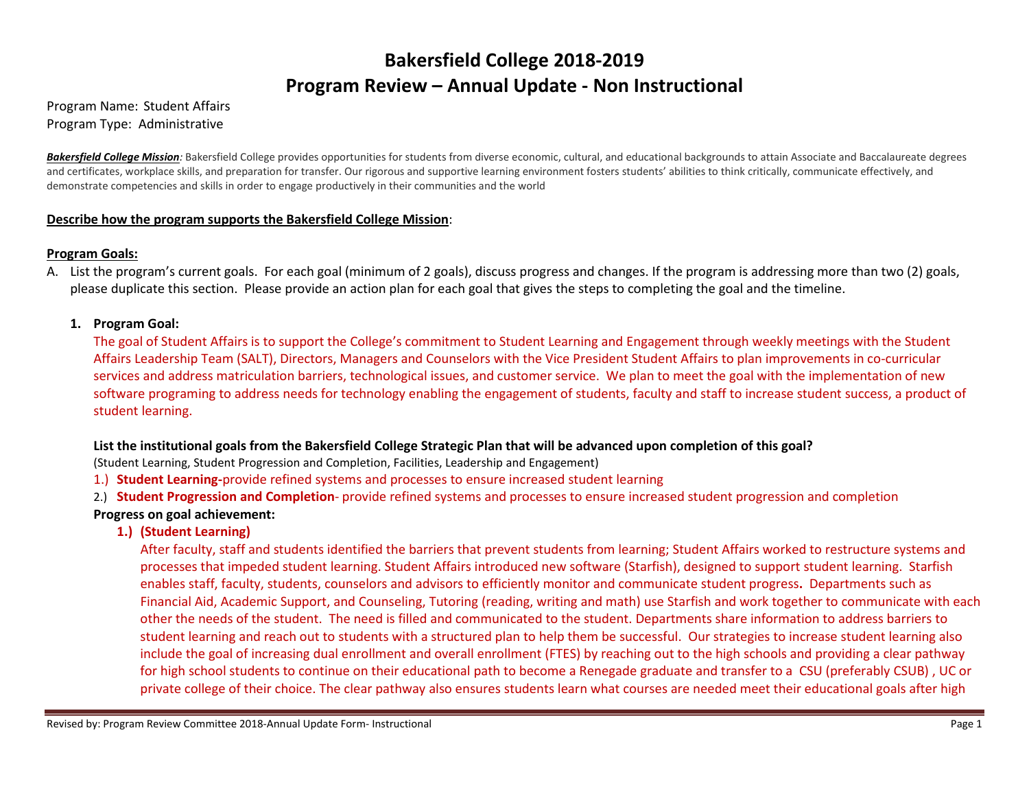# **Bakersfield College 2018-2019 Program Review – Annual Update - Non Instructional**

#### Program Name: Student Affairs Program Type: Administrative

**Bakersfield College Mission**: Bakersfield College provides opportunities for students from diverse economic, cultural, and educational backgrounds to attain Associate and Baccalaureate degrees and certificates, workplace skills, and preparation for transfer. Our rigorous and supportive learning environment fosters students' abilities to think critically, communicate effectively, and demonstrate competencies and skills in order to engage productively in their communities and the world

#### **Describe how the program supports the Bakersfield College Mission**:

#### **Program Goals:**

A. List the program's current goals. For each goal (minimum of 2 goals), discuss progress and changes. If the program is addressing more than two (2) goals, please duplicate this section. Please provide an action plan for each goal that gives the steps to completing the goal and the timeline.

#### **1. Program Goal:**

The goal of Student Affairs is to support the College's commitment to Student Learning and Engagement through weekly meetings with the Student Affairs Leadership Team (SALT), Directors, Managers and Counselors with the Vice President Student Affairs to plan improvements in co-curricular services and address matriculation barriers, technological issues, and customer service. We plan to meet the goal with the implementation of new software programing to address needs for technology enabling the engagement of students, faculty and staff to increase student success, a product of student learning.

### **List the institutional goals from the Bakersfield College Strategic Plan that will be advanced upon completion of this goal?**

(Student Learning, Student Progression and Completion, Facilities, Leadership and Engagement)

- 1.) **Student Learning-**provide refined systems and processes to ensure increased student learning
- 2.) **Student Progression and Completion** provide refined systems and processes to ensure increased student progression and completion **Progress on goal achievement:**

### **1.) (Student Learning)**

After faculty, staff and students identified the barriers that prevent students from learning; Student Affairs worked to restructure systems and processes that impeded student learning. Student Affairs introduced new software (Starfish), designed to support student learning. Starfish enables staff, faculty, students, counselors and advisors to efficiently monitor and communicate student progress**.** Departments such as Financial Aid, Academic Support, and Counseling, Tutoring (reading, writing and math) use Starfish and work together to communicate with each other the needs of the student. The need is filled and communicated to the student. Departments share information to address barriers to student learning and reach out to students with a structured plan to help them be successful. Our strategies to increase student learning also include the goal of increasing dual enrollment and overall enrollment (FTES) by reaching out to the high schools and providing a clear pathway for high school students to continue on their educational path to become a Renegade graduate and transfer to a CSU (preferably CSUB) , UC or private college of their choice. The clear pathway also ensures students learn what courses are needed meet their educational goals after high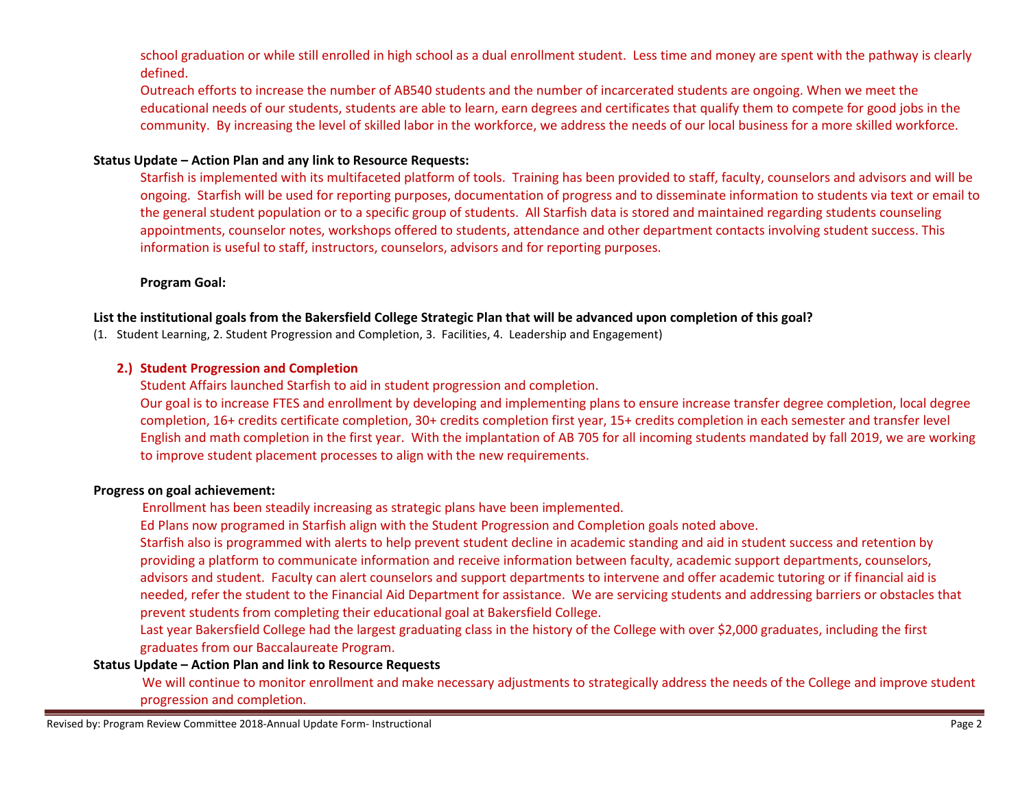school graduation or while still enrolled in high school as a dual enrollment student. Less time and money are spent with the pathway is clearly defined.

Outreach efforts to increase the number of AB540 students and the number of incarcerated students are ongoing. When we meet the educational needs of our students, students are able to learn, earn degrees and certificates that qualify them to compete for good jobs in the community. By increasing the level of skilled labor in the workforce, we address the needs of our local business for a more skilled workforce.

#### **Status Update – Action Plan and any link to Resource Requests:**

Starfish is implemented with its multifaceted platform of tools. Training has been provided to staff, faculty, counselors and advisors and will be ongoing. Starfish will be used for reporting purposes, documentation of progress and to disseminate information to students via text or email to the general student population or to a specific group of students. All Starfish data is stored and maintained regarding students counseling appointments, counselor notes, workshops offered to students, attendance and other department contacts involving student success. This information is useful to staff, instructors, counselors, advisors and for reporting purposes.

#### **Program Goal:**

#### **List the institutional goals from the Bakersfield College Strategic Plan that will be advanced upon completion of this goal?**

(1. Student Learning, 2. Student Progression and Completion, 3. Facilities, 4. Leadership and Engagement)

#### **2.) Student Progression and Completion**

Student Affairs launched Starfish to aid in student progression and completion.

Our goal is to increase FTES and enrollment by developing and implementing plans to ensure increase transfer degree completion, local degree completion, 16+ credits certificate completion, 30+ credits completion first year, 15+ credits completion in each semester and transfer level English and math completion in the first year. With the implantation of AB 705 for all incoming students mandated by fall 2019, we are working to improve student placement processes to align with the new requirements.

#### **Progress on goal achievement:**

Enrollment has been steadily increasing as strategic plans have been implemented.

Ed Plans now programed in Starfish align with the Student Progression and Completion goals noted above.

Starfish also is programmed with alerts to help prevent student decline in academic standing and aid in student success and retention by providing a platform to communicate information and receive information between faculty, academic support departments, counselors, advisors and student. Faculty can alert counselors and support departments to intervene and offer academic tutoring or if financial aid is needed, refer the student to the Financial Aid Department for assistance. We are servicing students and addressing barriers or obstacles that prevent students from completing their educational goal at Bakersfield College.

Last year Bakersfield College had the largest graduating class in the history of the College with over \$2,000 graduates, including the first graduates from our Baccalaureate Program.

#### **Status Update – Action Plan and link to Resource Requests**

We will continue to monitor enrollment and make necessary adjustments to strategically address the needs of the College and improve student progression and completion.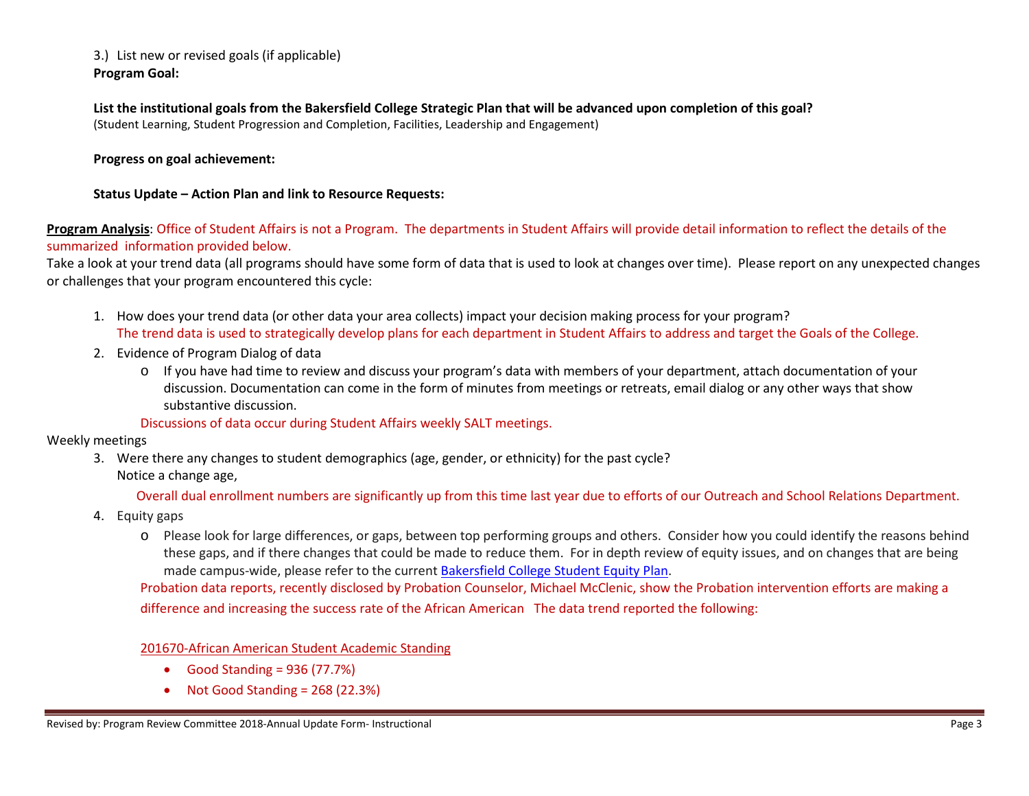3.) List new or revised goals (if applicable) **Program Goal:**

**List the institutional goals from the Bakersfield College Strategic Plan that will be advanced upon completion of this goal?**  (Student Learning, Student Progression and Completion, Facilities, Leadership and Engagement)

**Progress on goal achievement:**

**Status Update – Action Plan and link to Resource Requests:**

**Program Analysis**: Office of Student Affairs is not a Program. The departments in Student Affairs will provide detail information to reflect the details of the summarized information provided below.

Take a look at your trend data (all programs should have some form of data that is used to look at changes over time). Please report on any unexpected changes or challenges that your program encountered this cycle:

- 1. How does your trend data (or other data your area collects) impact your decision making process for your program? The trend data is used to strategically develop plans for each department in Student Affairs to address and target the Goals of the College.
- 2. Evidence of Program Dialog of data
	- o If you have had time to review and discuss your program's data with members of your department, attach documentation of your discussion. Documentation can come in the form of minutes from meetings or retreats, email dialog or any other ways that show substantive discussion.

#### Discussions of data occur during Student Affairs weekly SALT meetings.

Weekly meetings

3. Were there any changes to student demographics (age, gender, or ethnicity) for the past cycle? Notice a change age,

Overall dual enrollment numbers are significantly up from this time last year due to efforts of our Outreach and School Relations Department.

- 4. Equity gaps
	- o Please look for large differences, or gaps, between top performing groups and others. Consider how you could identify the reasons behind these gaps, and if there changes that could be made to reduce them. For in depth review of equity issues, and on changes that are being made campus-wide, please refer to the current [Bakersfield College Student Equity Plan.](https://www.bakersfieldcollege.edu/sites/bakersfieldcollege.edu/files/2015-18_StudentEquityPlan.pdf)

Probation data reports, recently disclosed by Probation Counselor, Michael McClenic, show the Probation intervention efforts are making a difference and increasing the success rate of the African American The data trend reported the following:

201670-African American Student Academic Standing

- Good Standing =  $936$  (77.7%)
- Not Good Standing = 268 (22.3%)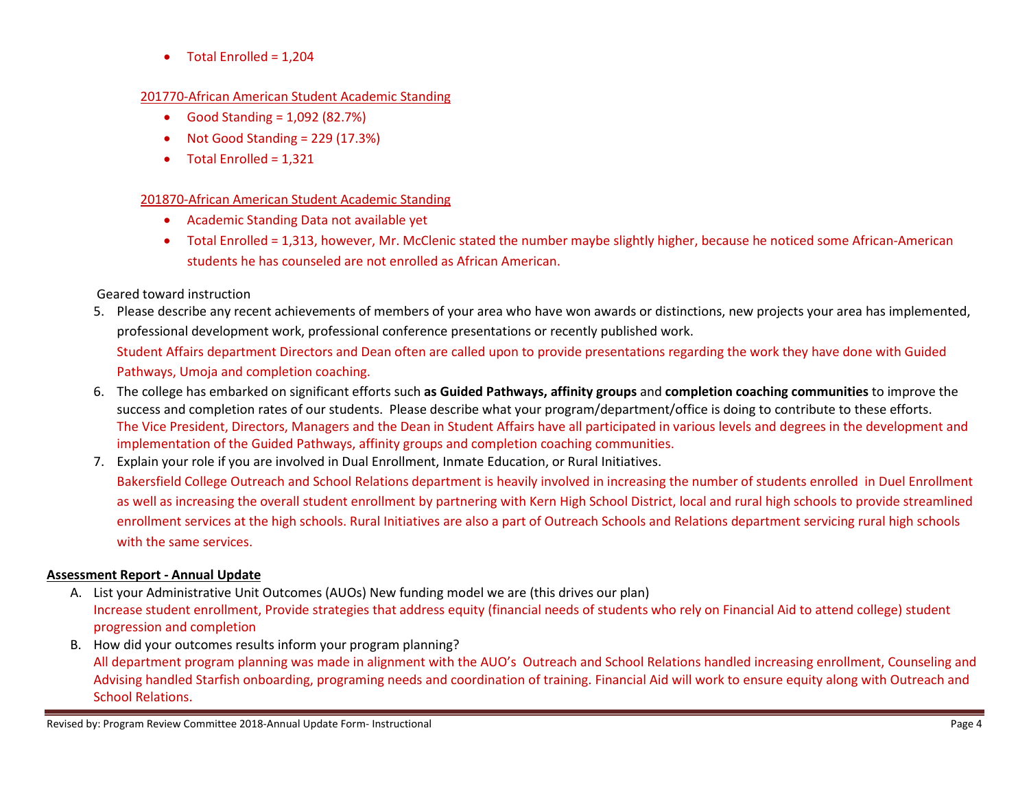• Total Enrolled =  $1,204$ 

#### 201770-African American Student Academic Standing

- Good Standing  $= 1,092$  (82.7%)
- Not Good Standing = 229 (17.3%)
- Total Enrolled = 1,321

## 201870-African American Student Academic Standing

- Academic Standing Data not available yet
- Total Enrolled = 1,313, however, Mr. McClenic stated the number maybe slightly higher, because he noticed some African-American students he has counseled are not enrolled as African American.

## Geared toward instruction

- 5. Please describe any recent achievements of members of your area who have won awards or distinctions, new projects your area has implemented, professional development work, professional conference presentations or recently published work. Student Affairs department Directors and Dean often are called upon to provide presentations regarding the work they have done with Guided Pathways, Umoja and completion coaching.
- 6. The college has embarked on significant efforts such **as Guided Pathways, affinity groups** and **completion coaching communities** to improve the success and completion rates of our students. Please describe what your program/department/office is doing to contribute to these efforts. The Vice President, Directors, Managers and the Dean in Student Affairs have all participated in various levels and degrees in the development and implementation of the Guided Pathways, affinity groups and completion coaching communities.
- 7. Explain your role if you are involved in Dual Enrollment, Inmate Education, or Rural Initiatives.

Bakersfield College Outreach and School Relations department is heavily involved in increasing the number of students enrolled in Duel Enrollment as well as increasing the overall student enrollment by partnering with Kern High School District, local and rural high schools to provide streamlined enrollment services at the high schools. Rural Initiatives are also a part of Outreach Schools and Relations department servicing rural high schools with the same services.

## **Assessment Report - Annual Update**

- A. List your Administrative Unit Outcomes (AUOs) New funding model we are (this drives our plan) Increase student enrollment, Provide strategies that address equity (financial needs of students who rely on Financial Aid to attend college) student progression and completion
- B. How did your outcomes results inform your program planning? All department program planning was made in alignment with the AUO's Outreach and School Relations handled increasing enrollment, Counseling and Advising handled Starfish onboarding, programing needs and coordination of training. Financial Aid will work to ensure equity along with Outreach and School Relations.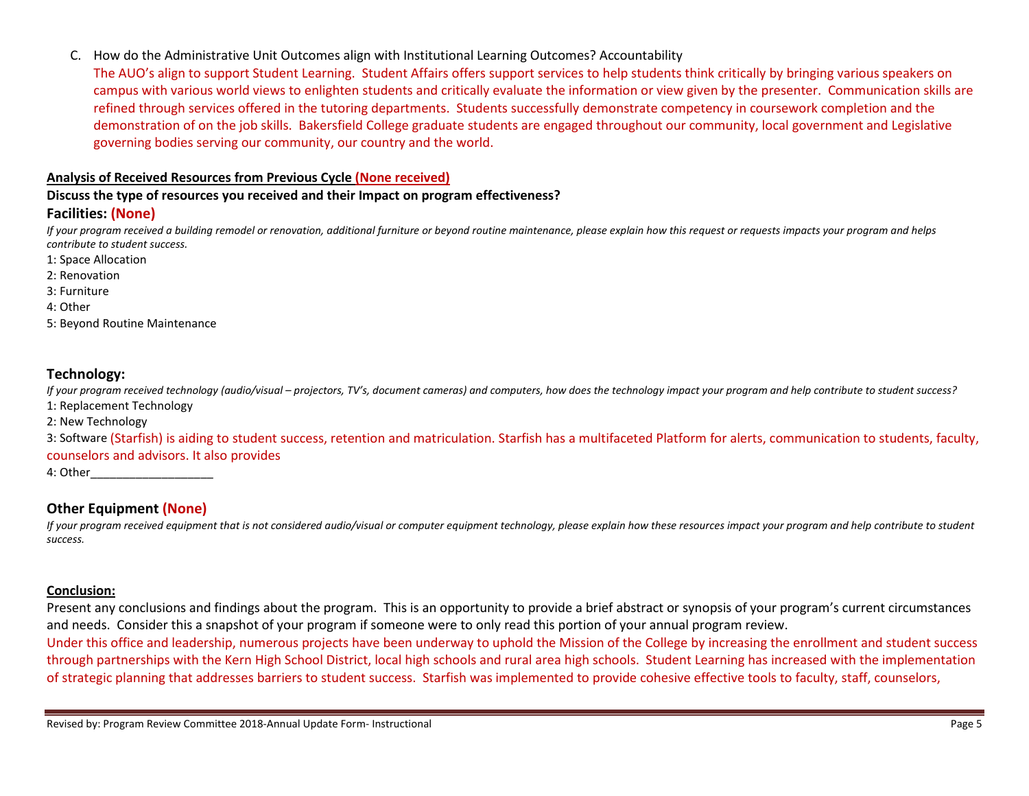C. How do the Administrative Unit Outcomes align with Institutional Learning Outcomes? Accountability

The AUO's align to support Student Learning. Student Affairs offers support services to help students think critically by bringing various speakers on campus with various world views to enlighten students and critically evaluate the information or view given by the presenter. Communication skills are refined through services offered in the tutoring departments. Students successfully demonstrate competency in coursework completion and the demonstration of on the job skills. Bakersfield College graduate students are engaged throughout our community, local government and Legislative governing bodies serving our community, our country and the world.

#### **Analysis of Received Resources from Previous Cycle (None received)**

**Discuss the type of resources you received and their Impact on program effectiveness?**

## **Facilities: (None)**

*If your program received a building remodel or renovation, additional furniture or beyond routine maintenance, please explain how this request or requests impacts your program and helps contribute to student success.*

- 1: Space Allocation
- 2: Renovation
- 3: Furniture
- 4: Other
- 5: Beyond Routine Maintenance

## **Technology:**

*If your program received technology (audio/visual – projectors, TV's, document cameras) and computers, how does the technology impact your program and help contribute to student success?* 1: Replacement Technology

2: New Technology

3: Software (Starfish) is aiding to student success, retention and matriculation. Starfish has a multifaceted Platform for alerts, communication to students, faculty, counselors and advisors. It also provides

4: Other\_\_\_\_\_\_\_\_\_\_\_\_\_\_\_\_\_\_\_

# **Other Equipment (None)**

*If your program received equipment that is not considered audio/visual or computer equipment technology, please explain how these resources impact your program and help contribute to student success.*

### **Conclusion:**

Present any conclusions and findings about the program. This is an opportunity to provide a brief abstract or synopsis of your program's current circumstances and needs. Consider this a snapshot of your program if someone were to only read this portion of your annual program review.

Under this office and leadership, numerous projects have been underway to uphold the Mission of the College by increasing the enrollment and student success through partnerships with the Kern High School District, local high schools and rural area high schools. Student Learning has increased with the implementation of strategic planning that addresses barriers to student success. Starfish was implemented to provide cohesive effective tools to faculty, staff, counselors,